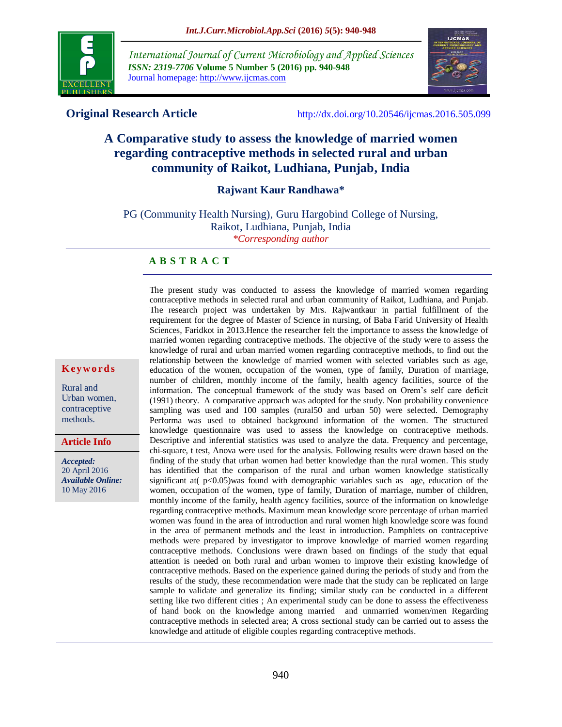

*International Journal of Current Microbiology and Applied Sciences ISSN: 2319-7706* **Volume 5 Number 5 (2016) pp. 940-948** Journal homepage: http://www.ijcmas.com



**Original Research Article** <http://dx.doi.org/10.20546/ijcmas.2016.505.099>

# **A Comparative study to assess the knowledge of married women regarding contraceptive methods in selected rural and urban community of Raikot, Ludhiana, Punjab, India**

#### **Rajwant Kaur Randhawa\***

PG (Community Health Nursing), Guru Hargobind College of Nursing, Raikot, Ludhiana, Punjab, India

*\*Corresponding author*

#### **A B S T R A C T**

The present study was conducted to assess the knowledge of married women regarding contraceptive methods in selected rural and urban community of Raikot, Ludhiana, and Punjab. The research project was undertaken by Mrs. Rajwantkaur in partial fulfillment of the requirement for the degree of Master of Science in nursing, of Baba Farid University of Health Sciences, Faridkot in 2013.Hence the researcher felt the importance to assess the knowledge of married women regarding contraceptive methods. The objective of the study were to assess the knowledge of rural and urban married women regarding contraceptive methods, to find out the relationship between the knowledge of married women with selected variables such as age, education of the women, occupation of the women, type of family, Duration of marriage, number of children, monthly income of the family, health agency facilities, source of the information. The conceptual framework of the study was based on Orem's self care deficit (1991) theory. A comparative approach was adopted for the study. Non probability convenience sampling was used and 100 samples (rural50 and urban 50) were selected. Demography Performa was used to obtained background information of the women. The structured knowledge questionnaire was used to assess the knowledge on contraceptive methods. Descriptive and inferential statistics was used to analyze the data. Frequency and percentage, chi-square, t test, Anova were used for the analysis. Following results were drawn based on the finding of the study that urban women had better knowledge than the rural women. This study has identified that the comparison of the rural and urban women knowledge statistically significant at  $p<0.05$ )was found with demographic variables such as age, education of the women, occupation of the women, type of family, Duration of marriage, number of children, monthly income of the family, health agency facilities, source of the information on knowledge regarding contraceptive methods. Maximum mean knowledge score percentage of urban married women was found in the area of introduction and rural women high knowledge score was found in the area of permanent methods and the least in introduction. Pamphlets on contraceptive methods were prepared by investigator to improve knowledge of married women regarding contraceptive methods. Conclusions were drawn based on findings of the study that equal attention is needed on both rural and urban women to improve their existing knowledge of contraceptive methods. Based on the experience gained during the periods of study and from the results of the study, these recommendation were made that the study can be replicated on large sample to validate and generalize its finding; similar study can be conducted in a different setting like two different cities ; An experimental study can be done to assess the effectiveness of hand book on the knowledge among married and unmarried women/men Regarding contraceptive methods in selected area; A cross sectional study can be carried out to assess the knowledge and attitude of eligible couples regarding contraceptive methods.

#### **K ey w o rd s**

Rural and Urban women, contraceptive methods.

**Article Info**

*Accepted:*  20 April 2016 *Available Online:* 10 May 2016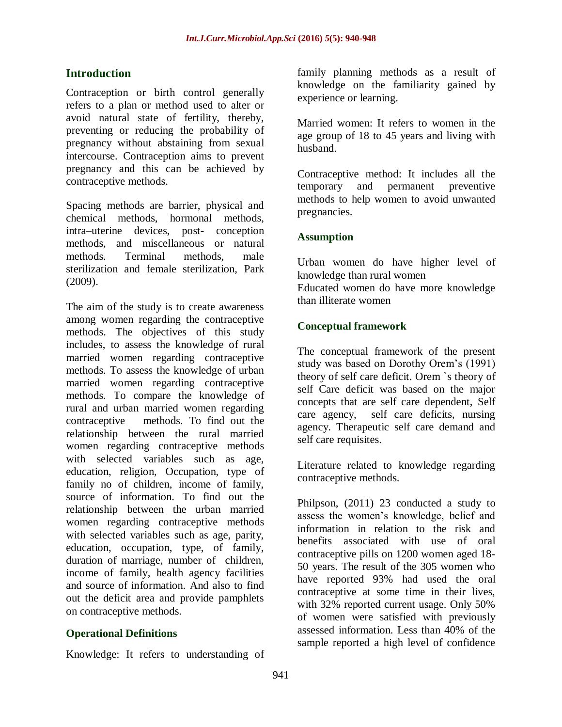# **Introduction**

Contraception or birth control generally refers to a plan or method used to alter or avoid natural state of fertility, thereby, preventing or reducing the probability of pregnancy without abstaining from sexual intercourse. Contraception aims to prevent pregnancy and this can be achieved by contraceptive methods.

Spacing methods are barrier, physical and chemical methods, hormonal methods, intra–uterine devices, post- conception methods, and miscellaneous or natural methods. Terminal methods, male sterilization and female sterilization, Park (2009).

The aim of the study is to create awareness among women regarding the contraceptive methods. The objectives of this study includes, to assess the knowledge of rural married women regarding contraceptive methods. To assess the knowledge of urban married women regarding contraceptive methods. To compare the knowledge of rural and urban married women regarding contraceptive methods. To find out the relationship between the rural married women regarding contraceptive methods with selected variables such as age, education, religion, Occupation, type of family no of children, income of family, source of information. To find out the relationship between the urban married women regarding contraceptive methods with selected variables such as age, parity, education, occupation, type, of family, duration of marriage, number of children, income of family, health agency facilities and source of information. And also to find out the deficit area and provide pamphlets on contraceptive methods.

# **Operational Definitions**

Knowledge: It refers to understanding of

family planning methods as a result of knowledge on the familiarity gained by experience or learning.

Married women: It refers to women in the age group of 18 to 45 years and living with husband.

Contraceptive method: It includes all the temporary and permanent preventive methods to help women to avoid unwanted pregnancies.

# **Assumption**

Urban women do have higher level of knowledge than rural women Educated women do have more knowledge than illiterate women

# **Conceptual framework**

The conceptual framework of the present study was based on Dorothy Orem's (1991) theory of self care deficit. Orem `s theory of self Care deficit was based on the major concepts that are self care dependent, Self care agency, self care deficits, nursing agency. Therapeutic self care demand and self care requisites.

Literature related to knowledge regarding contraceptive methods.

Philpson, (2011) 23 conducted a study to assess the women's knowledge, belief and information in relation to the risk and benefits associated with use of oral contraceptive pills on 1200 women aged 18- 50 years. The result of the 305 women who have reported 93% had used the oral contraceptive at some time in their lives, with 32% reported current usage. Only 50% of women were satisfied with previously assessed information. Less than 40% of the sample reported a high level of confidence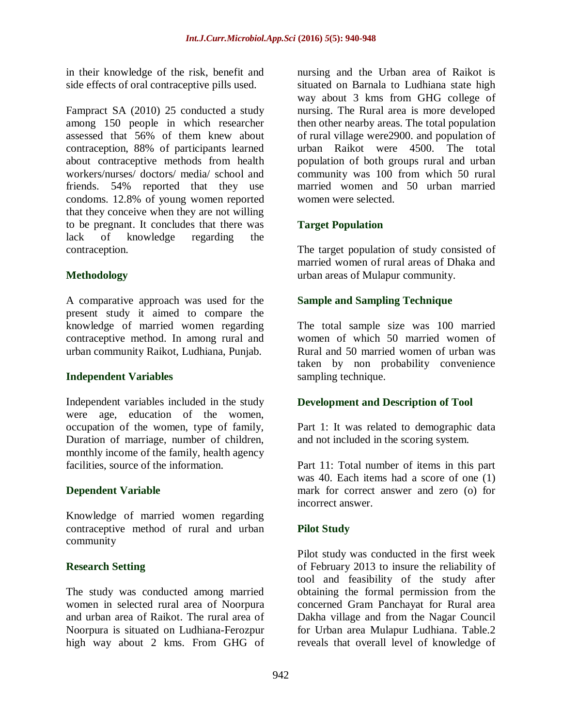in their knowledge of the risk, benefit and side effects of oral contraceptive pills used.

Fampract SA (2010) 25 conducted a study among 150 people in which researcher assessed that 56% of them knew about contraception, 88% of participants learned about contraceptive methods from health workers/nurses/ doctors/ media/ school and friends. 54% reported that they use condoms. 12.8% of young women reported that they conceive when they are not willing to be pregnant. It concludes that there was lack of knowledge regarding the contraception.

# **Methodology**

A comparative approach was used for the present study it aimed to compare the knowledge of married women regarding contraceptive method. In among rural and urban community Raikot, Ludhiana, Punjab.

# **Independent Variables**

Independent variables included in the study were age, education of the women, occupation of the women, type of family, Duration of marriage, number of children, monthly income of the family, health agency facilities, source of the information.

# **Dependent Variable**

Knowledge of married women regarding contraceptive method of rural and urban community

# **Research Setting**

The study was conducted among married women in selected rural area of Noorpura and urban area of Raikot. The rural area of Noorpura is situated on Ludhiana-Ferozpur high way about 2 kms. From GHG of nursing and the Urban area of Raikot is situated on Barnala to Ludhiana state high way about 3 kms from GHG college of nursing. The Rural area is more developed then other nearby areas. The total population of rural village were2900. and population of urban Raikot were 4500. The total population of both groups rural and urban community was 100 from which 50 rural married women and 50 urban married women were selected.

# **Target Population**

The target population of study consisted of married women of rural areas of Dhaka and urban areas of Mulapur community.

# **Sample and Sampling Technique**

The total sample size was 100 married women of which 50 married women of Rural and 50 married women of urban was taken by non probability convenience sampling technique.

# **Development and Description of Tool**

Part 1: It was related to demographic data and not included in the scoring system.

Part 11: Total number of items in this part was 40. Each items had a score of one (1) mark for correct answer and zero (o) for incorrect answer.

# **Pilot Study**

Pilot study was conducted in the first week of February 2013 to insure the reliability of tool and feasibility of the study after obtaining the formal permission from the concerned Gram Panchayat for Rural area Dakha village and from the Nagar Council for Urban area Mulapur Ludhiana. Table.2 reveals that overall level of knowledge of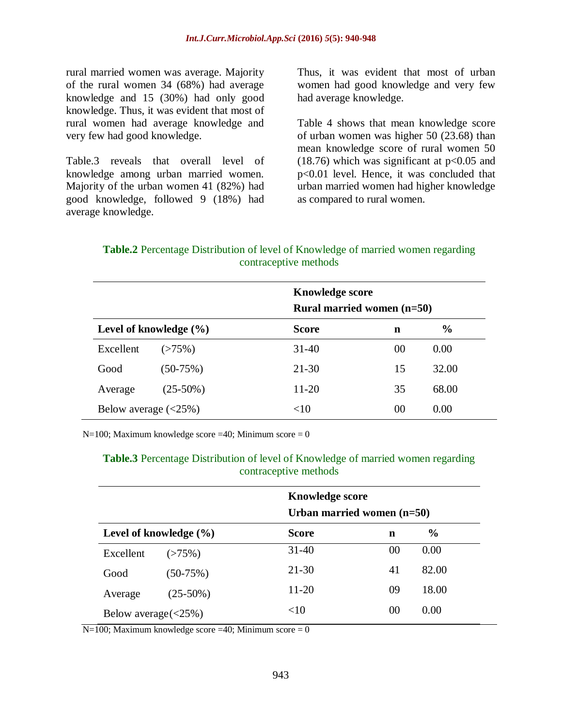rural married women was average. Majority of the rural women 34 (68%) had average knowledge and 15 (30%) had only good knowledge. Thus, it was evident that most of rural women had average knowledge and very few had good knowledge.

Table.3 reveals that overall level of knowledge among urban married women. Majority of the urban women 41 (82%) had good knowledge, followed 9 (18%) had average knowledge.

Thus, it was evident that most of urban women had good knowledge and very few had average knowledge.

Table 4 shows that mean knowledge score of urban women was higher 50 (23.68) than mean knowledge score of rural women 50  $(18.76)$  which was significant at  $p<0.05$  and p<0.01 level. Hence, it was concluded that urban married women had higher knowledge as compared to rural women.

**Table.2** Percentage Distribution of level of Knowledge of married women regarding contraceptive methods

|                            |             |                            | <b>Knowledge score</b> |               |  |  |  |
|----------------------------|-------------|----------------------------|------------------------|---------------|--|--|--|
|                            |             | Rural married women (n=50) |                        |               |  |  |  |
| Level of knowledge $(\% )$ |             | <b>Score</b>               | n                      | $\frac{6}{9}$ |  |  |  |
| Excellent                  | (>75%)      | $31 - 40$                  | 00                     | 0.00          |  |  |  |
| Good                       | $(50-75%)$  | $21 - 30$                  | 15                     | 32.00         |  |  |  |
| Average                    | $(25-50\%)$ | $11 - 20$                  | 35                     | 68.00         |  |  |  |
| Below average $(<25\%)$    |             | <10                        | 00                     | 0.00          |  |  |  |

N=100; Maximum knowledge score =40; Minimum score =  $0$ 

**Table.3** Percentage Distribution of level of Knowledge of married women regarding contraceptive methods

|                                                                 |             | <b>Knowledge score</b>       |    |               |  |  |
|-----------------------------------------------------------------|-------------|------------------------------|----|---------------|--|--|
|                                                                 |             | Urban married women $(n=50)$ |    |               |  |  |
| Level of knowledge $(\% )$                                      |             | Score                        | n  | $\frac{0}{0}$ |  |  |
| Excellent                                                       | $(>75\%)$   | $31 - 40$                    | 00 | 0.00          |  |  |
| Good                                                            | $(50-75%)$  | $21 - 30$                    | 41 | 82.00         |  |  |
| Average                                                         | $(25-50\%)$ | $11 - 20$                    | 09 | 18.00         |  |  |
| Below average $\left\langle \langle 25\% \rangle \right\rangle$ |             | $<$ 10                       | 00 | 0.00          |  |  |

 $N=100$ ; Maximum knowledge score =40; Minimum score = 0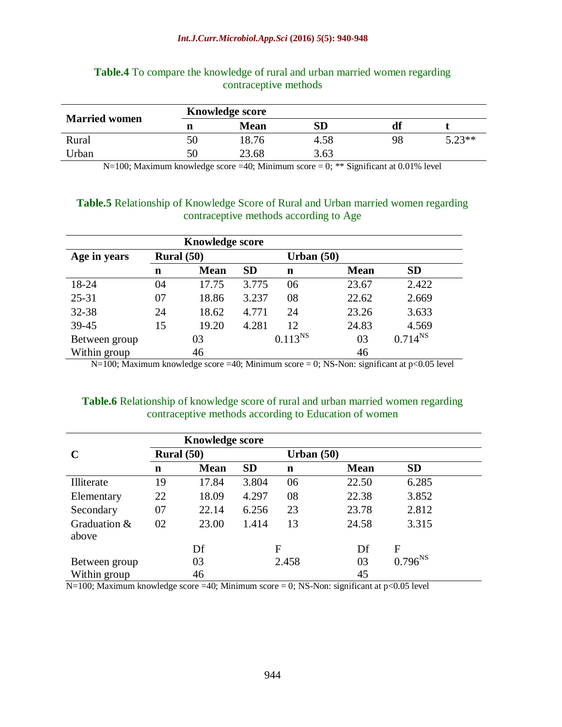#### *Int.J.Curr.Microbiol.App.Sci* **(2016)** *5***(5): 940-948**

| <b>Married women</b> |   | <b>Knowledge score</b> |      |    |          |
|----------------------|---|------------------------|------|----|----------|
|                      | n | <b>Mean</b>            | SD   |    |          |
| Rural                |   | 18.76                  | 4.58 | 98 | $5.23**$ |
| Jrban                |   | 23.68                  | 3.63 |    |          |

#### **Table.4** To compare the knowledge of rural and urban married women regarding contraceptive methods

N=100; Maximum knowledge score =40; Minimum score = 0; \*\* Significant at 0.01% level

#### **Table.5** Relationship of Knowledge Score of Rural and Urban married women regarding contraceptive methods according to Age

|               |              | <b>Knowledge score</b> |           |              |             |              |
|---------------|--------------|------------------------|-----------|--------------|-------------|--------------|
| Age in years  | Rural $(50)$ |                        |           | Urban $(50)$ |             |              |
|               | n            | <b>Mean</b>            | <b>SD</b> | n            | <b>Mean</b> | <b>SD</b>    |
| 18-24         | 04           | 17.75                  | 3.775     | 06           | 23.67       | 2.422        |
| $25 - 31$     | 07           | 18.86                  | 3.237     | 08           | 22.62       | 2.669        |
| 32-38         | 24           | 18.62                  | 4.771     | 24           | 23.26       | 3.633        |
| 39-45         | 15           | 19.20                  | 4.281     | 12           | 24.83       | 4.569        |
| Between group |              | 03                     |           | $0.113^{NS}$ | 03          | $0.714^{NS}$ |
| Within group  |              | 46                     |           |              | 46          |              |

N=100; Maximum knowledge score =40; Minimum score = 0; NS-Non: significant at  $p < 0.05$  level

# **Table.6** Relationship of knowledge score of rural and urban married women regarding contraceptive methods according to Education of women

|               |             | <b>Knowledge score</b> |           |              |             |              |  |
|---------------|-------------|------------------------|-----------|--------------|-------------|--------------|--|
| C             |             | Rural $(50)$           |           | Urban $(50)$ |             |              |  |
|               | $\mathbf n$ | <b>Mean</b>            | <b>SD</b> | n            | <b>Mean</b> | <b>SD</b>    |  |
| Illiterate    | 19          | 17.84                  | 3.804     | 06           | 22.50       | 6.285        |  |
| Elementary    | 22          | 18.09                  | 4.297     | 08           | 22.38       | 3.852        |  |
| Secondary     | 07          | 22.14                  | 6.256     | 23           | 23.78       | 2.812        |  |
| Graduation &  | 02          | 23.00                  | 1.414     | 13           | 24.58       | 3.315        |  |
| above         |             |                        |           |              |             |              |  |
|               |             | Df                     |           | F            | Df          | F            |  |
| Between group |             | 03                     |           | 2.458        | 03          | $0.796^{NS}$ |  |
| Within group  |             | 46                     |           |              | 45          |              |  |

 $N=100$ ; Maximum knowledge score =40; Minimum score = 0; NS-Non: significant at p<0.05 level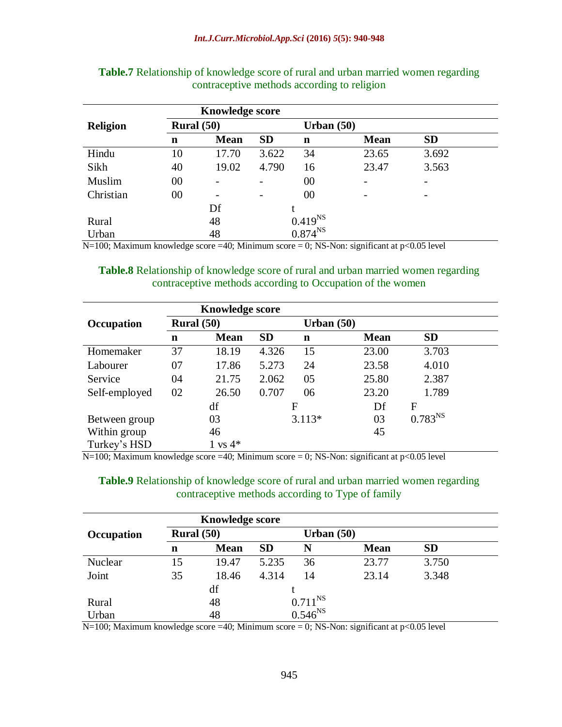|                 | <b>Knowledge score</b> |                          |           |              |              |           |  |  |
|-----------------|------------------------|--------------------------|-----------|--------------|--------------|-----------|--|--|
| <b>Religion</b> | Rural $(50)$           |                          |           |              | Urban $(50)$ |           |  |  |
|                 | $\mathbf n$            | <b>Mean</b>              | <b>SD</b> | n            | <b>Mean</b>  | <b>SD</b> |  |  |
| Hindu           | 10                     | 17.70                    | 3.622     | 34           | 23.65        | 3.692     |  |  |
| Sikh            | 40                     | 19.02                    | 4.790     | 16           | 23.47        | 3.563     |  |  |
| Muslim          | 00                     |                          |           | 00           |              | -         |  |  |
| Christian       | 00                     | $\overline{\phantom{0}}$ |           | 00           |              | -         |  |  |
|                 |                        | Df                       |           |              |              |           |  |  |
| Rural           |                        | 48                       |           | $0.419^{NS}$ |              |           |  |  |
| Urban           |                        | 48                       |           | $0.874^{NS}$ |              |           |  |  |

| <b>Table.7</b> Relationship of knowledge score of rural and urban married women regarding |                                             |  |  |  |
|-------------------------------------------------------------------------------------------|---------------------------------------------|--|--|--|
|                                                                                           | contraceptive methods according to religion |  |  |  |

N=100; Maximum knowledge score =40; Minimum score = 0; NS-Non: significant at p<0.05 level

**Table.8** Relationship of knowledge score of rural and urban married women regarding contraceptive methods according to Occupation of the women

|               |              | <b>Knowledge score</b> |           |              |             |              |  |
|---------------|--------------|------------------------|-----------|--------------|-------------|--------------|--|
| Occupation    | Rural $(50)$ |                        |           | Urban $(50)$ |             |              |  |
|               | $\mathbf n$  | <b>Mean</b>            | <b>SD</b> | $\mathbf n$  | <b>Mean</b> | <b>SD</b>    |  |
| Homemaker     | 37           | 18.19                  | 4.326     | 15           | 23.00       | 3.703        |  |
| Labourer      | 07           | 17.86                  | 5.273     | 24           | 23.58       | 4.010        |  |
| Service       | 04           | 21.75                  | 2.062     | 05           | 25.80       | 2.387        |  |
| Self-employed | 02           | 26.50                  | 0.707     | 06           | 23.20       | 1.789        |  |
|               |              | df                     |           | F            | Df          | F            |  |
| Between group |              | 03                     |           | $3.113*$     | 03          | $0.783^{NS}$ |  |
| Within group  |              | 46                     |           |              | 45          |              |  |
| Turkey's HSD  |              | $1 \text{ vs } 4^*$    |           |              |             |              |  |

 $N=100$ ; Maximum knowledge score =40; Minimum score = 0; NS-Non: significant at p<0.05 level

**Table.9** Relationship of knowledge score of rural and urban married women regarding contraceptive methods according to Type of family

|            |              | <b>Knowledge score</b> |           |              |             |           |  |
|------------|--------------|------------------------|-----------|--------------|-------------|-----------|--|
| Occupation | Rural $(50)$ |                        |           | Urban $(50)$ |             |           |  |
|            | n            | <b>Mean</b>            | <b>SD</b> | N            | <b>Mean</b> | <b>SD</b> |  |
| Nuclear    | 15           | 19.47                  | 5.235     | 36           | 23.77       | 3.750     |  |
| Joint      | 35           | 18.46                  | 4.314     | 14           | 23.14       | 3.348     |  |
|            |              | df                     |           |              |             |           |  |
| Rural      |              | 48                     |           | $0.711^{NS}$ |             |           |  |
| Urban      |              | 48                     |           | $0.546^{NS}$ |             |           |  |

 $N=100$ ; Maximum knowledge score =40; Minimum score = 0; NS-Non: significant at p<0.05 level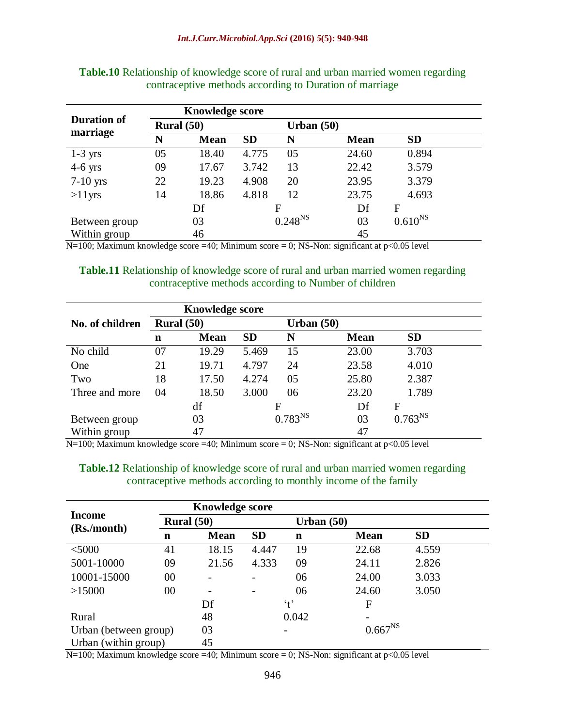|                                |              | <b>Knowledge score</b> |           |                     |             |                  |  |
|--------------------------------|--------------|------------------------|-----------|---------------------|-------------|------------------|--|
| <b>Duration of</b><br>marriage | Rural $(50)$ |                        |           | Urban $(50)$        |             |                  |  |
|                                | N            | <b>Mean</b>            | <b>SD</b> | N                   | <b>Mean</b> | <b>SD</b>        |  |
| $1-3$ yrs                      | 05           | 18.40                  | 4.775     | 05                  | 24.60       | 0.894            |  |
| $4-6$ yrs                      | 09           | 17.67                  | 3.742     | 13                  | 22.42       | 3.579            |  |
| $7-10$ yrs                     | 22           | 19.23                  | 4.908     | 20                  | 23.95       | 3.379            |  |
| $>11$ yrs                      | 14           | 18.86                  | 4.818     | 12                  | 23.75       | 4.693            |  |
|                                |              | Df                     |           | F                   | Df          | F                |  |
| Between group                  |              | 03                     |           | 0.248 <sup>NS</sup> | 03          | $0.610^{\rm NS}$ |  |
| Within group                   |              | 46                     |           |                     | 45          |                  |  |

**Table.10** Relationship of knowledge score of rural and urban married women regarding contraceptive methods according to Duration of marriage

 $N=100$ ; Maximum knowledge score =40; Minimum score = 0; NS-Non: significant at p<0.05 level

**Table.11** Relationship of knowledge score of rural and urban married women regarding contraceptive methods according to Number of children

|                 | <b>Knowledge score</b> |             |           |              |             |              |  |
|-----------------|------------------------|-------------|-----------|--------------|-------------|--------------|--|
| No. of children | Rural $(50)$           |             |           | Urban $(50)$ |             |              |  |
|                 | n                      | <b>Mean</b> | <b>SD</b> | N            | <b>Mean</b> | <b>SD</b>    |  |
| No child        | 07                     | 19.29       | 5.469     | 15           | 23.00       | 3.703        |  |
| One             | 21                     | 19.71       | 4.797     | 24           | 23.58       | 4.010        |  |
| Two             | 18                     | 17.50       | 4.274     | 05           | 25.80       | 2.387        |  |
| Three and more  | 04                     | 18.50       | 3.000     | 06           | 23.20       | 1.789        |  |
|                 |                        | df          |           | F            | Df          | F            |  |
| Between group   |                        | 03          |           | $0.783^{NS}$ | 03          | $0.763^{NS}$ |  |
| Within group    |                        | 47          |           |              | 47          |              |  |

N=100; Maximum knowledge score =40; Minimum score = 0; NS-Non: significant at p<0.05 level

**Table.12** Relationship of knowledge score of rural and urban married women regarding contraceptive methods according to monthly income of the family

|                       |    | <b>Knowledge score</b> |           |              |                          |           |  |  |
|-----------------------|----|------------------------|-----------|--------------|--------------------------|-----------|--|--|
| Income                |    | Rural $(50)$           |           | Urban $(50)$ |                          |           |  |  |
| (Rs./month)           | n  | <b>Mean</b>            | <b>SD</b> | n            | <b>Mean</b>              | <b>SD</b> |  |  |
| $<$ 5000              | 41 | 18.15                  | 4.447     | 19           | 22.68                    | 4.559     |  |  |
| 5001-10000            | 09 | 21.56                  | 4.333     | 09           | 24.11                    | 2.826     |  |  |
| 10001-15000           | 00 |                        |           | 06           | 24.00                    | 3.033     |  |  |
| >15000                | 00 |                        |           | 06           | 24.60                    | 3.050     |  |  |
|                       |    | Df                     |           | $\cdot$ t'   | F                        |           |  |  |
| Rural                 |    | 48                     |           | 0.042        | $\overline{\phantom{a}}$ |           |  |  |
| Urban (between group) |    | 03                     |           |              | $0.667^{NS}$             |           |  |  |
| Urban (within group)  |    | 45                     |           |              |                          |           |  |  |

 $N=100$ ; Maximum knowledge score =40; Minimum score = 0; NS-Non: significant at p<0.05 level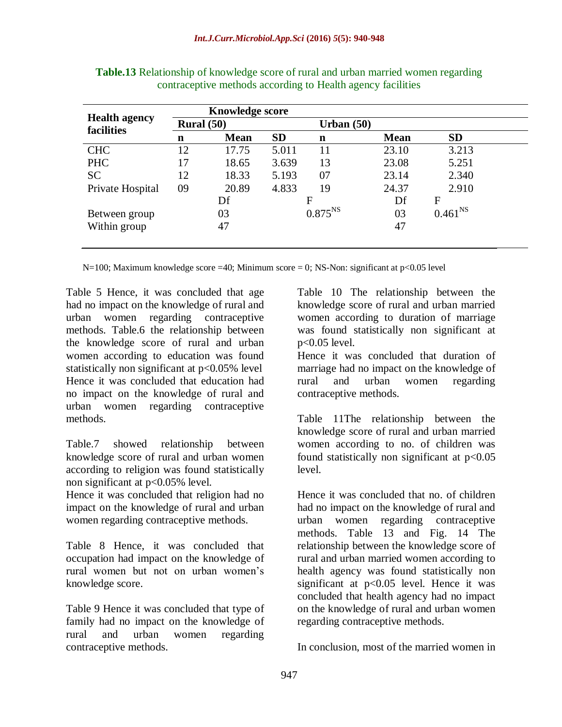| <b>Health agency</b><br>facilities | <b>Knowledge score</b> |             |              |              |             |              |  |
|------------------------------------|------------------------|-------------|--------------|--------------|-------------|--------------|--|
|                                    | Rural $(50)$           |             | Urban $(50)$ |              |             |              |  |
|                                    | n                      | <b>Mean</b> | <b>SD</b>    | n            | <b>Mean</b> | <b>SD</b>    |  |
| <b>CHC</b>                         | 12                     | 17.75       | 5.011        | 11           | 23.10       | 3.213        |  |
| <b>PHC</b>                         | 17                     | 18.65       | 3.639        | 13           | 23.08       | 5.251        |  |
| <b>SC</b>                          | 12                     | 18.33       | 5.193        | 07           | 23.14       | 2.340        |  |
| Private Hospital                   | 09                     | 20.89       | 4.833        | 19           | 24.37       | 2.910        |  |
|                                    |                        | Df          |              | F            | Df          | F            |  |
| Between group                      |                        | 03          |              | $0.875^{NS}$ | 03          | $0.461^{NS}$ |  |
| Within group                       |                        | 47          |              |              | 47          |              |  |
|                                    |                        |             |              |              |             |              |  |

**Table.13** Relationship of knowledge score of rural and urban married women regarding contraceptive methods according to Health agency facilities

N=100; Maximum knowledge score =40; Minimum score = 0; NS-Non: significant at  $p<0.05$  level

Table 5 Hence, it was concluded that age had no impact on the knowledge of rural and urban women regarding contraceptive methods. Table.6 the relationship between the knowledge score of rural and urban women according to education was found statistically non significant at p<0.05% level Hence it was concluded that education had no impact on the knowledge of rural and urban women regarding contraceptive methods.

Table.7 showed relationship between knowledge score of rural and urban women according to religion was found statistically non significant at p<0.05% level.

Hence it was concluded that religion had no impact on the knowledge of rural and urban women regarding contraceptive methods.

Table 8 Hence, it was concluded that occupation had impact on the knowledge of rural women but not on urban women's knowledge score.

Table 9 Hence it was concluded that type of family had no impact on the knowledge of rural and urban women regarding contraceptive methods.

Table 10 The relationship between the knowledge score of rural and urban married women according to duration of marriage was found statistically non significant at p<0.05 level.

Hence it was concluded that duration of marriage had no impact on the knowledge of rural and urban women regarding contraceptive methods.

Table 11The relationship between the knowledge score of rural and urban married women according to no. of children was found statistically non significant at p<0.05 level.

Hence it was concluded that no. of children had no impact on the knowledge of rural and urban women regarding contraceptive methods. Table 13 and Fig. 14 The relationship between the knowledge score of rural and urban married women according to health agency was found statistically non significant at p<0.05 level. Hence it was concluded that health agency had no impact on the knowledge of rural and urban women regarding contraceptive methods.

In conclusion, most of the married women in